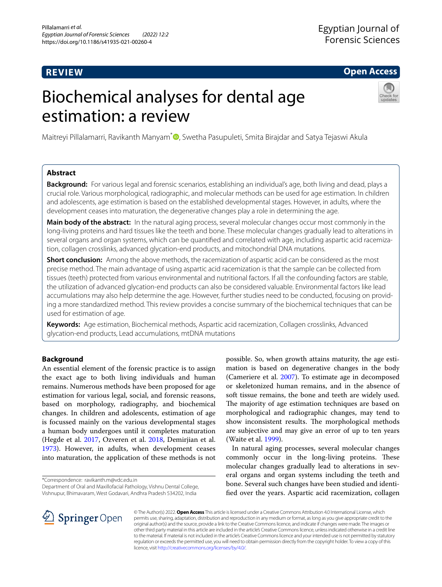# **REVIEW**

# **Open Access**

# Biochemical analyses for dental age estimation: a review



Maitreyi Pillalamarri, Ravikanth Manyam<sup>[\\*](http://orcid.org/0000-0001-6952-5014)</sup> , Swetha Pasupuleti, Smita Birajdar and Satya Tejaswi Akula

# **Abstract**

**Background:** For various legal and forensic scenarios, establishing an individual's age, both living and dead, plays a crucial role. Various morphological, radiographic, and molecular methods can be used for age estimation. In children and adolescents, age estimation is based on the established developmental stages. However, in adults, where the development ceases into maturation, the degenerative changes play a role in determining the age.

**Main body of the abstract:** In the natural aging process, several molecular changes occur most commonly in the long-living proteins and hard tissues like the teeth and bone. These molecular changes gradually lead to alterations in several organs and organ systems, which can be quantifed and correlated with age, including aspartic acid racemization, collagen crosslinks, advanced glycation-end products, and mitochondrial DNA mutations.

**Short conclusion:** Among the above methods, the racemization of aspartic acid can be considered as the most precise method. The main advantage of using aspartic acid racemization is that the sample can be collected from tissues (teeth) protected from various environmental and nutritional factors. If all the confounding factors are stable, the utilization of advanced glycation-end products can also be considered valuable. Environmental factors like lead accumulations may also help determine the age. However, further studies need to be conducted, focusing on providing a more standardized method. This review provides a concise summary of the biochemical techniques that can be used for estimation of age.

**Keywords:** Age estimation, Biochemical methods, Aspartic acid racemization, Collagen crosslinks, Advanced glycation-end products, Lead accumulations, mtDNA mutations

# **Background**

An essential element of the forensic practice is to assign the exact age to both living individuals and human remains. Numerous methods have been proposed for age estimation for various legal, social, and forensic reasons, based on morphology, radiography, and biochemical changes. In children and adolescents, estimation of age is focussed mainly on the various developmental stages a human body undergoes until it completes maturation (Hegde et al. [2017,](#page-6-0) Ozveren et al. [2018,](#page-6-1) Demirjian et al. [1973](#page-6-2)). However, in adults, when development ceases into maturation, the application of these methods is not

\*Correspondence: ravikanth.m@vdc.edu.in

Department of Oral and Maxillofacial Pathology, Vishnu Dental College, Vishnupur, Bhimavaram, West Godavari, Andhra Pradesh 534202, India

possible. So, when growth attains maturity, the age estimation is based on degenerative changes in the body (Cameriere et al. [2007\)](#page-5-0). To estimate age in decomposed or skeletonized human remains, and in the absence of soft tissue remains, the bone and teeth are widely used. The majority of age estimation techniques are based on morphological and radiographic changes, may tend to show inconsistent results. The morphological methods are subjective and may give an error of up to ten years (Waite et al. [1999\)](#page-7-0).

In natural aging processes, several molecular changes commonly occur in the long-living proteins. These molecular changes gradually lead to alterations in several organs and organ systems including the teeth and bone. Several such changes have been studied and identifed over the years. Aspartic acid racemization, collagen



© The Author(s) 2022. **Open Access** This article is licensed under a Creative Commons Attribution 4.0 International License, which permits use, sharing, adaptation, distribution and reproduction in any medium or format, as long as you give appropriate credit to the original author(s) and the source, provide a link to the Creative Commons licence, and indicate if changes were made. The images or other third party material in this article are included in the article's Creative Commons licence, unless indicated otherwise in a credit line to the material. If material is not included in the article's Creative Commons licence and your intended use is not permitted by statutory regulation or exceeds the permitted use, you will need to obtain permission directly from the copyright holder. To view a copy of this licence, visit [http://creativecommons.org/licenses/by/4.0/.](http://creativecommons.org/licenses/by/4.0/)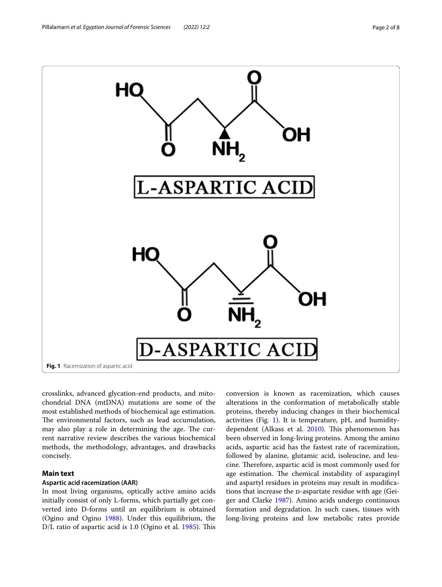

<span id="page-1-0"></span>crosslinks, advanced glycation-end products, and mitochondrial DNA (mtDNA) mutations are some of the most established methods of biochemical age estimation. The environmental factors, such as lead accumulation, may also play a role in determining the age. The current narrative review describes the various biochemical methods, the methodology, advantages, and drawbacks concisely.

# **Main text**

## **Aspartic acid racemization (AAR)**

In most living organisms, optically active amino acids initially consist of only L-forms, which partially get converted into D-forms until an equilibrium is obtained (Ogino and Ogino [1988](#page-6-3)). Under this equilibrium, the D/L ratio of aspartic acid is 1.0 (Ogino et al. [1985\)](#page-6-4). This conversion is known as racemization, which causes alterations in the conformation of metabolically stable proteins, thereby inducing changes in their biochemical activities (Fig. [1](#page-1-0)). It is temperature, pH, and humidity-dependent (Alkass et al. [2010](#page-5-1)). This phenomenon has been observed in long-living proteins. Among the amino acids, aspartic acid has the fastest rate of racemization, followed by alanine, glutamic acid, isoleucine, and leucine. Therefore, aspartic acid is most commonly used for age estimation. The chemical instability of asparaginyl and aspartyl residues in proteins may result in modifcations that increase the D-aspartate residue with age (Geiger and Clarke [1987](#page-6-5)). Amino acids undergo continuous formation and degradation. In such cases, tissues with long-living proteins and low metabolic rates provide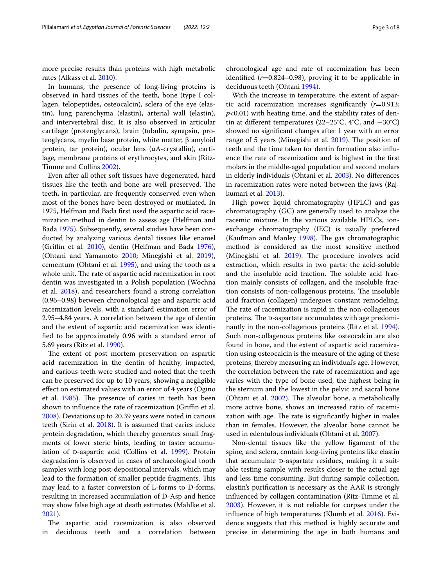more precise results than proteins with high metabolic rates (Alkass et al. [2010](#page-5-1)).

In humans, the presence of long-living proteins is observed in hard tissues of the teeth, bone (type I collagen, telopeptides, osteocalcin), sclera of the eye (elastin), lung parenchyma (elastin), arterial wall (elastin), and intervertebral disc. It is also observed in articular cartilage (proteoglycans), brain (tubulin, synapsin, proteoglycans, myelin base protein, white matter, β amyloid protein, tar protein), ocular lens (αA-crystallin), cartilage, membrane proteins of erythrocytes, and skin (Ritz-Timme and Collins [2002\)](#page-7-1).

Even after all other soft tissues have degenerated, hard tissues like the teeth and bone are well preserved. The teeth, in particular, are frequently conserved even when most of the bones have been destroyed or mutilated. In 1975, Helfman and Bada frst used the aspartic acid racemization method in dentin to assess age (Helfman and Bada [1975](#page-6-6)). Subsequently, several studies have been conducted by analyzing various dental tissues like enamel (Griffin et al. [2010](#page-6-7)), dentin (Helfman and Bada [1976](#page-6-8)), (Ohtani and Yamamoto [2010;](#page-6-9) Minegishi et al. [2019](#page-6-10)), cementum (Ohtani et al. [1995](#page-6-11)), and using the tooth as a whole unit. The rate of aspartic acid racemization in root dentin was investigated in a Polish population (Wochna et al. [2018](#page-7-2)), and researchers found a strong correlation (0.96–0.98) between chronological age and aspartic acid racemization levels, with a standard estimation error of 2.95–4.84 years. A correlation between the age of dentin and the extent of aspartic acid racemization was identifed to be approximately 0.96 with a standard error of 5.69 years (Ritz et al. [1990\)](#page-7-3).

The extent of post mortem preservation on aspartic acid racemization in the dentin of healthy, impacted, and carious teeth were studied and noted that the teeth can be preserved for up to 10 years, showing a negligible efect on estimated values with an error of 4 years (Ogino et al. [1985\)](#page-6-4). The presence of caries in teeth has been shown to influence the rate of racemization (Griffin et al. [2008](#page-6-12)). Deviations up to 20.39 years were noted in carious teeth (Sirin et al. [2018\)](#page-7-4). It is assumed that caries induce protein degradation, which thereby generates small fragments of lower steric hints, leading to faster accumu-lation of p-aspartic acid (Collins et al. [1999](#page-6-13)). Protein degradation is observed in cases of archaeological tooth samples with long post-depositional intervals, which may lead to the formation of smaller peptide fragments. This may lead to a faster conversion of L-forms to D-forms, resulting in increased accumulation of D-Asp and hence may show false high age at death estimates (Mahlke et al. [2021](#page-6-14)).

The aspartic acid racemization is also observed in deciduous teeth and a correlation between

chronological age and rate of racemization has been identified  $(r=0.824-0.98)$ , proving it to be applicable in deciduous teeth (Ohtani [1994](#page-6-15)).

With the increase in temperature, the extent of aspartic acid racemization increases signifcantly (*r*=0.913; *p*<0.01) with heating time, and the stability rates of dentin at diferent temperatures (22–25°C, 4°C, and −30°C) showed no signifcant changes after 1 year with an error range of 5 years (Minegishi et al. [2019](#page-6-10)). The position of teeth and the time taken for dentin formation also infuence the rate of racemization and is highest in the frst molars in the middle-aged population and second molars in elderly individuals (Ohtani et al. [2003\)](#page-6-16). No diferences in racemization rates were noted between the jaws (Rajkumari et al. [2013\)](#page-7-5).

High power liquid chromatography (HPLC) and gas chromatography (GC) are generally used to analyze the racemic mixture. In the various available HPLCs, ionexchange chromatography (IEC) is usually preferred (Kaufman and Manley [1998\)](#page-6-17). The gas chromatographic method is considered as the most sensitive method (Minegishi et al.  $2019$ ). The procedure involves acid extraction, which results in two parts: the acid-soluble and the insoluble acid fraction. The soluble acid fraction mainly consists of collagen, and the insoluble fraction consists of non-collagenous proteins. The insoluble acid fraction (collagen) undergoes constant remodeling. The rate of racemization is rapid in the non-collagenous proteins. The D-aspartate accumulates with age predominantly in the non-collagenous proteins (Ritz et al. [1994](#page-7-6)). Such non-collagenous proteins like osteocalcin are also found in bone, and the extent of aspartic acid racemization using osteocalcin is the measure of the aging of these proteins, thereby measuring an individual's age. However, the correlation between the rate of racemization and age varies with the type of bone used, the highest being in the sternum and the lowest in the pelvic and sacral bone (Ohtani et al.  $2002$ ). The alveolar bone, a metabolically more active bone, shows an increased ratio of racemization with age. The rate is significantly higher in males than in females. However, the alveolar bone cannot be used in edentulous individuals (Ohtani et al. [2007\)](#page-6-19).

Non-dental tissues like the yellow ligament of the spine, and sclera, contain long-living proteins like elastin that accumulate D-aspartate residues, making it a suitable testing sample with results closer to the actual age and less time consuming. But during sample collection, elastin's purifcation is necessary as the AAR is strongly infuenced by collagen contamination (Ritz-Timme et al. [2003](#page-7-7)). However, it is not reliable for corpses under the infuence of high temperatures (Klumb et al. [2016\)](#page-6-20). Evidence suggests that this method is highly accurate and precise in determining the age in both humans and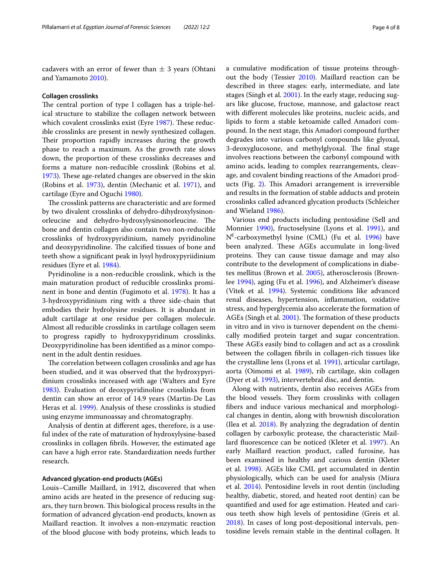cadavers with an error of fewer than  $\pm$  3 years (Ohtani and Yamamoto [2010](#page-6-9)).

## **Collagen crosslinks**

The central portion of type I collagen has a triple-helical structure to stabilize the collagen network between which covalent crosslinks exist (Eyre [1987](#page-6-21)). These reducible crosslinks are present in newly synthesized collagen. Their proportion rapidly increases during the growth phase to reach a maximum. As the growth rate slows down, the proportion of these crosslinks decreases and forms a mature non-reducible crosslink (Robins et al. [1973](#page-7-8)). These age-related changes are observed in the skin (Robins et al. [1973\)](#page-7-8), dentin (Mechanic et al. [1971](#page-6-22)), and cartilage (Eyre and Oguchi [1980](#page-6-23)).

The crosslink patterns are characteristic and are formed by two divalent crosslinks of dehydro-dihydroxylysinonorleucine and dehydro-hydroxylysinonorleucine. The bone and dentin collagen also contain two non-reducible crosslinks of hydroxypyridinium, namely pyridinoline and deoxypyridinoline. The calcified tissues of bone and teeth show a signifcant peak in lysyl hydroxypyriidinium residues (Eyre et al. [1984](#page-6-24)).

Pyridinoline is a non-reducible crosslink, which is the main maturation product of reducible crosslinks prominent in bone and dentin (Fugimoto et al. [1978\)](#page-6-25). It has a 3-hydroxypyridinium ring with a three side-chain that embodies their hydrolysine residues. It is abundant in adult cartilage at one residue per collagen molecule. Almost all reducible crosslinks in cartilage collagen seem to progress rapidly to hydroxypyridinum crosslinks. Deoxypyridinoline has been identifed as a minor component in the adult dentin residues.

The correlation between collagen crosslinks and age has been studied, and it was observed that the hydroxypyridinium crosslinks increased with age (Walters and Eyre [1983](#page-7-9)). Evaluation of deoxypyridinoline crosslinks from dentin can show an error of 14.9 years (Martin-De Las Heras et al. [1999](#page-6-26)). Analysis of these crosslinks is studied using enzyme immunoassay and chromatography.

Analysis of dentin at diferent ages, therefore, is a useful index of the rate of maturation of hydroxylysine-based crosslinks in collagen fbrils. However, the estimated age can have a high error rate. Standardization needs further research.

### **Advanced glycation‑end products (AGEs)**

Louis–Camille Maillard, in 1912, discovered that when amino acids are heated in the presence of reducing sugars, they turn brown. This biological process results in the formation of advanced glycation-end products, known as Maillard reaction. It involves a non-enzymatic reaction of the blood glucose with body proteins, which leads to a cumulative modifcation of tissue proteins throughout the body (Tessier [2010\)](#page-7-10). Maillard reaction can be described in three stages: early, intermediate, and late stages (Singh et al. [2001\)](#page-7-11). In the early stage, reducing sugars like glucose, fructose, mannose, and galactose react with diferent molecules like proteins, nucleic acids, and lipids to form a stable ketoamide called Amadori compound. In the next stage, this Amadori compound further degrades into various carbonyl compounds like glyoxal, 3-deoxyglucosone, and methylglyoxal. The final stage involves reactions between the carbonyl compound with amino acids, leading to complex rearrangements, cleavage, and covalent binding reactions of the Amadori prod-ucts (Fig. [2](#page-4-0)). This Amadori arrangement is irreversible and results in the formation of stable adducts and protein crosslinks called advanced glycation products (Schleicher and Wieland [1986\)](#page-7-12).

Various end products including pentosidine (Sell and Monnier [1990\)](#page-7-13), fructoselysine (Lyons et al. [1991](#page-6-27)), and N€ -carboxymethyl lysine (CML) (Fu et al. [1996\)](#page-6-28) have been analyzed. These AGEs accumulate in long-lived proteins. They can cause tissue damage and may also contribute to the development of complications in diabetes mellitus (Brown et al. [2005](#page-5-2)), atherosclerosis (Brownlee [1994\)](#page-5-3), aging (Fu et al. [1996](#page-6-28)), and Alzheimer's disease (Vitek et al. [1994](#page-7-14)). Systemic conditions like advanced renal diseases, hypertension, infammation, oxidative stress, and hyperglycemia also accelerate the formation of AGEs (Singh et al. [2001](#page-7-11)). The formation of these products in vitro and in vivo is turnover dependent on the chemically modifed protein target and sugar concentration. These AGEs easily bind to collagen and act as a crosslink between the collagen fbrils in collagen-rich tissues like the crystalline lens (Lyons et al. [1991\)](#page-6-27), articular cartilage, aorta (Oimomi et al. [1989](#page-6-29)), rib cartilage, skin collagen (Dyer et al. [1993\)](#page-6-30), intervertebral disc, and dentin.

Along with nutrients, dentin also receives AGEs from the blood vessels. They form crosslinks with collagen fbers and induce various mechanical and morphological changes in dentin, along with brownish discoloration (Ilea et al. [2018\)](#page-6-31). By analyzing the degradation of dentin collagen by carboxylic protease, the characteristic Maillard fuorescence can be noticed (Kleter et al. [1997\)](#page-6-32). An early Maillard reaction product, called furosine, has been examined in healthy and carious dentin (Kleter et al. [1998\)](#page-6-33). AGEs like CML get accumulated in dentin physiologically, which can be used for analysis (Miura et al. [2014](#page-6-34)). Pentosidine levels in root dentin (including healthy, diabetic, stored, and heated root dentin) can be quantifed and used for age estimation. Heated and carious teeth show high levels of pentosidine (Greis et al. [2018](#page-6-35)). In cases of long post-depositional intervals, pentosidine levels remain stable in the dentinal collagen. It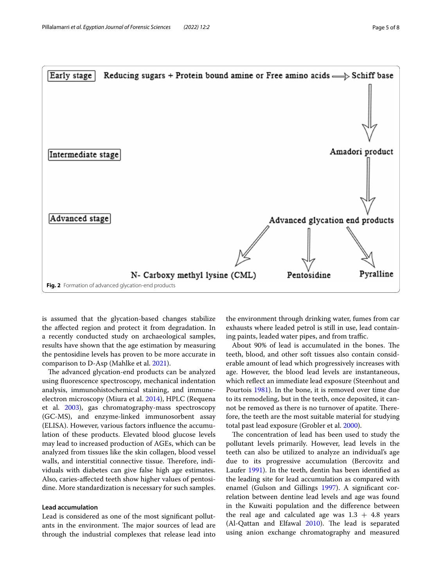

<span id="page-4-0"></span>is assumed that the glycation-based changes stabilize the afected region and protect it from degradation. In a recently conducted study on archaeological samples, results have shown that the age estimation by measuring the pentosidine levels has proven to be more accurate in comparison to D-Asp (Mahlke et al. [2021\)](#page-6-14).

The advanced glycation-end products can be analyzed using fuorescence spectroscopy, mechanical indentation analysis, immunohistochemical staining, and immuneelectron microscopy (Miura et al. [2014\)](#page-6-34), HPLC (Requena et al. [2003\)](#page-7-15), gas chromatography-mass spectroscopy (GC-MS), and enzyme-linked immunosorbent assay (ELISA). However, various factors infuence the accumulation of these products. Elevated blood glucose levels may lead to increased production of AGEs, which can be analyzed from tissues like the skin collagen, blood vessel walls, and interstitial connective tissue. Therefore, individuals with diabetes can give false high age estimates. Also, caries-afected teeth show higher values of pentosidine. More standardization is necessary for such samples.

## **Lead accumulation**

Lead is considered as one of the most signifcant pollutants in the environment. The major sources of lead are through the industrial complexes that release lead into

the environment through drinking water, fumes from car exhausts where leaded petrol is still in use, lead containing paints, leaded water pipes, and from traffic.

About 90% of lead is accumulated in the bones. The teeth, blood, and other soft tissues also contain considerable amount of lead which progressively increases with age. However, the blood lead levels are instantaneous, which refect an immediate lead exposure (Steenhout and Pourtois [1981\)](#page-7-16). In the bone, it is removed over time due to its remodeling, but in the teeth, once deposited, it cannot be removed as there is no turnover of apatite. Therefore, the teeth are the most suitable material for studying total past lead exposure (Grobler et al. [2000](#page-6-36)).

The concentration of lead has been used to study the pollutant levels primarily. However, lead levels in the teeth can also be utilized to analyze an individual's age due to its progressive accumulation (Bercovitz and Laufer [1991](#page-5-4)). In the teeth, dentin has been identifed as the leading site for lead accumulation as compared with enamel (Gulson and Gillings [1997\)](#page-6-37). A signifcant correlation between dentine lead levels and age was found in the Kuwaiti population and the diference between the real age and calculated age was  $1.3 + 4.8$  years  $(Al-Qattan and Elfawal 2010)$  $(Al-Qattan and Elfawal 2010)$ . The lead is separated using anion exchange chromatography and measured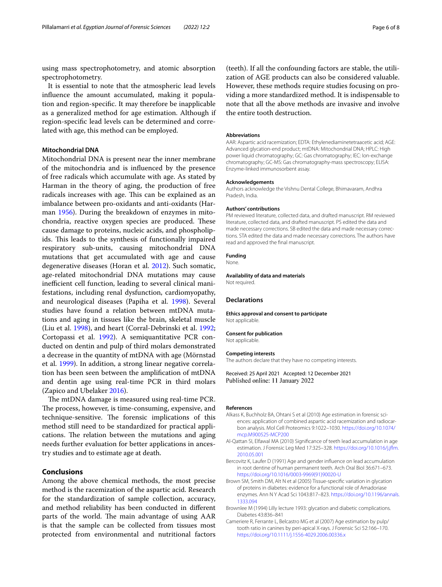using mass spectrophotometry, and atomic absorption spectrophotometry.

It is essential to note that the atmospheric lead levels infuence the amount accumulated, making it population and region-specifc. It may therefore be inapplicable as a generalized method for age estimation. Although if region-specifc lead levels can be determined and correlated with age, this method can be employed.

# **Mitochondrial DNA**

Mitochondrial DNA is present near the inner membrane of the mitochondria and is infuenced by the presence of free radicals which accumulate with age. As stated by Harman in the theory of aging, the production of free radicals increases with age. This can be explained as an imbalance between pro-oxidants and anti-oxidants (Harman [1956](#page-6-38)). During the breakdown of enzymes in mitochondria, reactive oxygen species are produced. These cause damage to proteins, nucleic acids, and phospholipids. This leads to the synthesis of functionally impaired respiratory sub-units, causing mitochondrial DNA mutations that get accumulated with age and cause degenerative diseases (Horan et al. [2012](#page-6-39)). Such somatic, age-related mitochondrial DNA mutations may cause inefficient cell function, leading to several clinical manifestations, including renal dysfunction, cardiomyopathy, and neurological diseases (Papiha et al. [1998\)](#page-7-17). Several studies have found a relation between mtDNA mutations and aging in tissues like the brain, skeletal muscle (Liu et al. [1998\)](#page-6-40), and heart (Corral-Debrinski et al. [1992](#page-6-41); Cortopassi et al. [1992\)](#page-6-42). A semiquantitative PCR conducted on dentin and pulp of third molars demonstrated a decrease in the quantity of mtDNA with age (Mörnstad et al. [1999](#page-6-43)). In addition, a strong linear negative correlation has been seen between the amplifcation of mtDNA and dentin age using real-time PCR in third molars (Zapico and Ubelaker [2016](#page-7-18)).

The mtDNA damage is measured using real-time PCR. The process, however, is time-consuming, expensive, and technique-sensitive. The forensic implications of this method still need to be standardized for practical applications. The relation between the mutations and aging needs further evaluation for better applications in ancestry studies and to estimate age at death.

# **Conclusions**

Among the above chemical methods, the most precise method is the racemization of the aspartic acid. Research for the standardization of sample collection, accuracy, and method reliability has been conducted in diferent parts of the world. The main advantage of using AAR is that the sample can be collected from tissues most protected from environmental and nutritional factors

(teeth). If all the confounding factors are stable, the utilization of AGE products can also be considered valuable. However, these methods require studies focusing on providing a more standardized method. It is indispensable to note that all the above methods are invasive and involve the entire tooth destruction.

#### **Abbreviations**

AAR: Aspartic acid racemization; EDTA: Ethylenediaminetetraacetic acid; AGE: Advanced glycation-end product; mtDNA: Mitochondrial DNA; HPLC: High power liquid chromatography; GC: Gas chromatography; IEC: Ion-exchange chromatography; GC-MS: Gas chromatography-mass spectroscopy; ELISA: Enzyme-linked immunosorbent assay.

#### **Acknowledgements**

Authors acknowledge the Vishnu Dental College, Bhimavaram, Andhra Pradesh, India.

#### **Authors' contributions**

PM reviewed literature, collected data, and drafted manuscript. RM reviewed literature, collected data, and drafted manuscript. PS edited the data and made necessary corrections. SB edited the data and made necessary corrections. STA edited the data and made necessary corrections. The authors have read and approved the fnal manuscript.

#### **Funding**

None.

#### **Availability of data and materials**

Not required.

#### **Declarations**

**Ethics approval and consent to participate** Not applicable.

#### **Consent for publication**

Not applicable.

#### **Competing interests**

The authors declare that they have no competing interests.

Received: 25 April 2021 Accepted: 12 December 2021 Published online: 11 January 2022

#### **References**

- <span id="page-5-1"></span>Alkass K, Buchholz BA, Ohtani S et al (2010) Age estimation in forensic sciences: application of combined aspartic acid racemization and radiocarbon analysis. Mol Cell Proteomics 9:1022–1030. [https://doi.org/10.1074/](https://doi.org/10.1074/mcp.M900525-MCP200) [mcp.M900525-MCP200](https://doi.org/10.1074/mcp.M900525-MCP200)
- <span id="page-5-5"></span>Al-Qattan SI, Elfawal MA (2010) Signifcance of teeth lead accumulation in age estimation. J Forensic Leg Med 17:325–328. [https://doi.org/10.1016/j.jfm.](https://doi.org/10.1016/j.jflm.2010.05.001) [2010.05.001](https://doi.org/10.1016/j.jflm.2010.05.001)
- <span id="page-5-4"></span>Bercovitz K, Laufer D (1991) Age and gender infuence on lead accumulation in root dentine of human permanent teeth. Arch Oral Biol 36:671–673. [https://doi.org/10.1016/0003-9969\(91\)90020-U](https://doi.org/10.1016/0003-9969(91)90020-U)
- <span id="page-5-2"></span>Brown SM, Smith DM, Alt N et al (2005) Tissue-specifc variation in glycation of proteins in diabetes: evidence for a functional role of Amadoriase enzymes. Ann N Y Acad Sci 1043:817–823. [https://doi.org/10.1196/annals.](https://doi.org/10.1196/annals.1333.094) [1333.094](https://doi.org/10.1196/annals.1333.094)
- <span id="page-5-3"></span>Brownlee M (1994) Lilly lecture 1993: glycation and diabetic complications. Diabetes 43:836–841
- <span id="page-5-0"></span>Cameriere R, Ferrante L, Belcastro MG et al (2007) Age estimation by pulp/ tooth ratio in canines by peri-apical X-rays. J Forensic Sci 52:166–170. <https://doi.org/10.1111/j.1556-4029.2006.00336.x>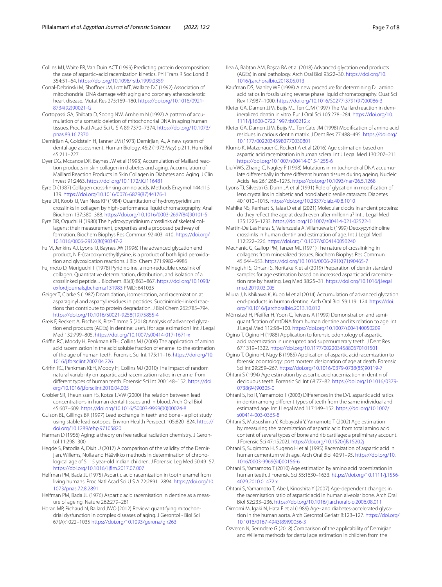<span id="page-6-13"></span>Collins MJ, Waite ER, Van Duin ACT (1999) Predicting protein decomposition: the case of aspartic–acid racemization kinetics. Phil Trans R Soc Lond B 354:51–64.<https://doi.org/10.1098/rstb.1999.0359>

- <span id="page-6-41"></span>Corral-Debrinski M, Shofner JM, Lott MT, Wallace DC (1992) Association of mitochondrial DNA damage with aging and coronary atherosclerotic heart disease. Mutat Res 275:169–180. [https://doi.org/10.1016/0921-](https://doi.org/10.1016/0921-8734(92)90021-G) [8734\(92\)90021-G](https://doi.org/10.1016/0921-8734(92)90021-G)
- <span id="page-6-42"></span>Cortopassi GA, Shibata D, Soong NW, Arnheim N (1992) A pattern of accumulation of a somatic deletion of mitochondrial DNA in aging human tissues. Proc Natl Acad Sci U S A 89:7370–7374. [https://doi.org/10.1073/](https://doi.org/10.1073/pnas.89.16.7370) [pnas.89.16.7370](https://doi.org/10.1073/pnas.89.16.7370)
- <span id="page-6-2"></span>Demirjian A, Goldstein H, Tanner JM (1973) Demirjian, A., A new system of dental age assessment, Human Biology, 45:2 (1973:May) p.211. Hum Biol 45:211–227
- <span id="page-6-30"></span>Dyer DG, Mccance DR, Baynes JW et al (1993) Accumulation of Maillard reaction products in skin collagen in diabetes and aging. Accumulation of Maillard Reaction Products in Skin Collagen in Diabetes and Aging. J Clin Invest 91:2463.<https://doi.org/10.1172/JCI116481>
- <span id="page-6-21"></span>Eyre D (1987) Collagen cross-linking amino acids. Methods Enzymol 144:115– 139. [https://doi.org/10.1016/0076-6879\(87\)44176-1](https://doi.org/10.1016/0076-6879(87)44176-1)
- <span id="page-6-24"></span>Eyre DR, Koob TJ, Van Ness KP (1984) Quantitation of hydroxypyridinium crosslinks in collagen by high-performance liquid chromatography. Anal Biochem 137:380–388. [https://doi.org/10.1016/0003-2697\(84\)90101-5](https://doi.org/10.1016/0003-2697(84)90101-5)
- <span id="page-6-23"></span>Eyre DR, Oguchi H (1980) The hydroxypyridinium crosslinks of skeletal collagens: their measurement, properties and a proposed pathway of formation. Biochem Biophys Res Commun 92:403–410. [https://doi.org/](https://doi.org/10.1016/0006-291X(80)90347-2) [10.1016/0006-291X\(80\)90347-2](https://doi.org/10.1016/0006-291X(80)90347-2)
- <span id="page-6-28"></span>Fu M, Jenkins AJ, Lyons TJ, Baynes JW (1996) The advanced glycation end product, N E-(carboxymethyl)lysine, is a product of both lipid peroxidation and glycoxidation reactions. J Biol Chem 271:9982–9986
- <span id="page-6-25"></span>Fujimoto D, Moriguchi T (1978) Pyridinoline, a non-reducible crosslink of collagen. Quantitative determination, distribution, and isolation of a crosslinked peptide. J Biochem. 83(3):863–867. [https://doi.org/10.1093/](https://doi.org/10.1093/oxfordjournals.jbchem.a131983) [oxfordjournals.jbchem.a131983](https://doi.org/10.1093/oxfordjournals.jbchem.a131983) PMID: 641035
- <span id="page-6-5"></span>Geiger T, Clarke S (1987) Deamidation, isomerization, and racemization at asparaginyl and aspartyl residues in peptides. Succinimide-linked reactions that contribute to protein degradation. J Biol Chem 262:785–794. [https://doi.org/10.1016/S0021-9258\(19\)75855-4](https://doi.org/10.1016/S0021-9258(19)75855-4)
- <span id="page-6-35"></span>Greis F, Reckert A, Fischer K, Ritz-Timme S (2018) Analysis of advanced glycation end products (AGEs) in dentine: useful for age estimation? Int J Legal Med 132:799–805. <https://doi.org/10.1007/s00414-017-1671-x>
- <span id="page-6-12"></span>Griffin RC, Moody H, Penkman KEH, Collins MJ (2008) The application of amino acid racemization in the acid soluble fraction of enamel to the estimation of the age of human teeth. Forensic Sci Int 175:11–16. [https://doi.org/10.](https://doi.org/10.1016/j.forsciint.2007.04.226) [1016/j.forsciint.2007.04.226](https://doi.org/10.1016/j.forsciint.2007.04.226)
- <span id="page-6-7"></span>Grifn RC, Penkman KEH, Moody H, Collins MJ (2010) The impact of random natural variability on aspartic acid racemization ratios in enamel from diferent types of human teeth. Forensic Sci Int 200:148–152. [https://doi.](https://doi.org/10.1016/j.forsciint.2010.04.005) [org/10.1016/j.forsciint.2010.04.005](https://doi.org/10.1016/j.forsciint.2010.04.005)
- <span id="page-6-36"></span>Grobler SR, Theunissen FS, Kotze TJVW (2000) The relation between lead concentrations in human dental tissues and in blood. Arch Oral Biol 45:607–609. [https://doi.org/10.1016/S0003-9969\(00\)00024-8](https://doi.org/10.1016/S0003-9969(00)00024-8)
- <span id="page-6-37"></span>Gulson BL, Gillings BR (1997) Lead exchange in teeth and bone - a pilot study using stable lead isotopes. Environ Health Perspect 105:820–824. [https://](https://doi.org/10.1289/ehp.97105820) [doi.org/10.1289/ehp.97105820](https://doi.org/10.1289/ehp.97105820)
- <span id="page-6-38"></span>Harman D (1956) Aging: a theory on free radical radiation chemistry. J Gerontol 11:298–300
- <span id="page-6-0"></span>Hegde S, Patodia A, Dixit U (2017) A comparison of the validity of the Demirjian, Willems, Nolla and Häävikko methods in determination of chronological age of 5–15 year-old Indian children. J Forensic Leg Med 50:49–57. [https://doi.org/10.1016/j.jfm.2017.07.007](https://doi.org/10.1016/j.jflm.2017.07.007)
- <span id="page-6-6"></span>Helfman PM, Bada JL (1975) Aspartic acid racemization in tooth enamel from living humans. Proc Natl Acad Sci U S A 72:2891–2894. [https://doi.org/10.](https://doi.org/10.1073/pnas.72.8.2891) [1073/pnas.72.8.2891](https://doi.org/10.1073/pnas.72.8.2891)
- <span id="page-6-8"></span>Helfman PM, Bada JL (1976) Aspartic acid racemisation in dentine as a measure of ageing. Nature 262:279–281
- <span id="page-6-39"></span>Horan MP, Pichaud N, Ballard JWO (2012) Review: quantifying mitochondrial dysfunction in complex diseases of aging. J Gerontol - Biol Sci 67(A):1022–1035<https://doi.org/10.1093/gerona/glr263>
- <span id="page-6-31"></span>Ilea A, Băbţan AM, Boşca BA et al (2018) Advanced glycation end products (AGEs) in oral pathology. Arch Oral Biol 93:22–30. [https://doi.org/10.](https://doi.org/10.1016/j.archoralbio.2018.05.013) [1016/j.archoralbio.2018.05.013](https://doi.org/10.1016/j.archoralbio.2018.05.013)
- <span id="page-6-17"></span>Kaufman DS, Manley WF (1998) A new procedure for determining DL amino acid ratios in fossils using reverse phase liquid chromatography. Quat Sci Rev 17:987–1000. [https://doi.org/10.1016/S0277-3791\(97\)00086-3](https://doi.org/10.1016/S0277-3791(97)00086-3)
- <span id="page-6-32"></span>Kleter GA, Damen JJM, Buijs MJ, Ten CJM (1997) The Maillard reaction in demineralized dentin in vitro. Eur J Oral Sci 105:278–284. [https://doi.org/10.](https://doi.org/10.1111/j.1600-0722.1997.tb00212.x) [1111/j.1600-0722.1997.tb00212.x](https://doi.org/10.1111/j.1600-0722.1997.tb00212.x)
- <span id="page-6-33"></span>Kleter GA, Damen JJM, Buijs MJ, Ten Cate JM (1998) Modifcation of amino acid residues in carious dentin matrix. J Dent Res 77:488–495. [https://doi.org/](https://doi.org/10.1177/00220345980770030801) [10.1177/00220345980770030801](https://doi.org/10.1177/00220345980770030801)
- <span id="page-6-20"></span>Klumb K, Matzenauer C, Reckert A et al (2016) Age estimation based on aspartic acid racemization in human sclera. Int J Legal Med 130:207–211. <https://doi.org/10.1007/s00414-015-1255-6>
- <span id="page-6-40"></span>Liu VWS, Zhang C, Nagley P (1998) Mutations in mitochondrial DNA accumulate diferentially in three diferent human tissues during ageing. Nucleic Acids Res 26:1268–1275. <https://doi.org/10.1093/nar/26.5.1268>
- <span id="page-6-27"></span>Lyons TJ, Silvestri G, Dunn JA et al (1991) Role of glycation in modifcation of lens crystallins in diabetic and nondiabetic senile cataracts. Diabetes 40:1010–1015.<https://doi.org/10.2337/diab.40.8.1010>
- <span id="page-6-14"></span>Mahlke NS, Renhart S, Talaa D et al (2021) Molecular clocks in ancient proteins: do they refect the age at death even after millennia? Int J Legal Med 135:1225–1233. <https://doi.org/10.1007/s00414-021-02522-1>
- <span id="page-6-26"></span>Martin-De Las Heras S, Valenzuela A, Villanueva E (1999) Deoxypyridinoline crosslinks in human dentin and estimation of age. Int J Legal Med 112:222–226. <https://doi.org/10.1007/s004140050240>
- <span id="page-6-22"></span>Mechanic G, Gallop PM, Tanzer ML (1971) The nature of crosslinking in collagens from mineralized tissues. Biochem Biophys Res Commun 45:644–653. [https://doi.org/10.1016/0006-291X\(71\)90465-7](https://doi.org/10.1016/0006-291X(71)90465-7)
- <span id="page-6-10"></span>Minegishi S, Ohtani S, Noritake K et al (2019) Preparation of dentin standard samples for age estimation based on increased aspartic acid racemization rate by heating. Leg Med 38:25–31. [https://doi.org/10.1016/j.legal](https://doi.org/10.1016/j.legalmed.2019.03.005) [med.2019.03.005](https://doi.org/10.1016/j.legalmed.2019.03.005)
- <span id="page-6-34"></span>Miura J, Nishikawa K, Kubo M et al (2014) Accumulation of advanced glycation end-products in human dentine. Arch Oral Biol 59:119–124. [https://doi.](https://doi.org/10.1016/j.archoralbio.2013.10.012) [org/10.1016/j.archoralbio.2013.10.012](https://doi.org/10.1016/j.archoralbio.2013.10.012)
- <span id="page-6-43"></span>Mörnstad H, Pfeifer H, Yoon C, Teivens A (1999) Demonstration and semiquantifcation of mtDNA from human dentine and its relation to age. Int J Legal Med 112:98–100.<https://doi.org/10.1007/s004140050209>
- <span id="page-6-3"></span>Ogino T, Ogino H (1988) Application to forensic odontology of aspartic acid racemization in unerupted and supernumerary teeth. J Dent Res 67:1319–1322.<https://doi.org/10.1177/00220345880670101501>
- <span id="page-6-4"></span>Ogino T, Ogino H, Nagy B (1985) Application of aspartic acid racemization to forensic odontology: post mortem designation of age at death. Forensic Sci Int 29:259–267. [https://doi.org/10.1016/0379-0738\(85\)90119-7](https://doi.org/10.1016/0379-0738(85)90119-7)
- <span id="page-6-15"></span>Ohtani S (1994) Age estimation by aspartic acid racemization in dentin of deciduous teeth. Forensic Sci Int 68:77–82. [https://doi.org/10.1016/0379-](https://doi.org/10.1016/0379-0738(94)90305-0) [0738\(94\)90305-0](https://doi.org/10.1016/0379-0738(94)90305-0)
- <span id="page-6-16"></span>Ohtani S, Ito R, Yamamoto T (2003) Diferences in the D/L aspartic acid ratios in dentin among diferent types of teeth from the same individual and estimated age. Int J Legal Med 117:149–152. [https://doi.org/10.1007/](https://doi.org/10.1007/s00414-003-0365-8) [s00414-003-0365-8](https://doi.org/10.1007/s00414-003-0365-8)
- <span id="page-6-18"></span>Ohtani S, Matsushima Y, Kobayashi Y, Yamamoto T (2002) Age estimation by measuring the racemization of aspartic acid from total amino acid content of several types of bone and rib cartilage: a preliminary account. J Forensic Sci 47:15202J. <https://doi.org/10.1520/jfs15202j>
- <span id="page-6-11"></span>Ohtani S, Sugimoto H, Sugeno H et al (1995) Racemization of aspartic acid in human cementum with age. Arch Oral Biol 40:91–95. [https://doi.org/10.](https://doi.org/10.1016/0003-9969(94)00156-6) [1016/0003-9969\(94\)00156-6](https://doi.org/10.1016/0003-9969(94)00156-6)
- <span id="page-6-9"></span>Ohtani S, Yamamoto T (2010) Age estimation by amino acid racemization in human teeth. J Forensic Sci 55:1630–1633. [https://doi.org/10.1111/j.1556-](https://doi.org/10.1111/j.1556-4029.2010.01472.x) [4029.2010.01472.x](https://doi.org/10.1111/j.1556-4029.2010.01472.x)
- <span id="page-6-19"></span>Ohtani S, Yamamoto T, Abe I, Kinoshita Y (2007) Age-dependent changes in the racemisation ratio of aspartic acid in human alveolar bone. Arch Oral Biol 52:233–236. <https://doi.org/10.1016/j.archoralbio.2006.08.011>
- <span id="page-6-29"></span>Oimomi M, Igaki N, Hata F et al (1989) Age- and diabetes-accelerated glycation in the human aorta. Arch Gerontol Geriatr 8:123–127. [https://doi.org/](https://doi.org/10.1016/0167-4943(89)90056-3) [10.1016/0167-4943\(89\)90056-3](https://doi.org/10.1016/0167-4943(89)90056-3)
- <span id="page-6-1"></span>Ozveren N, Serindere G (2018) Comparison of the applicability of Demirjian and Willems methods for dental age estimation in children from the